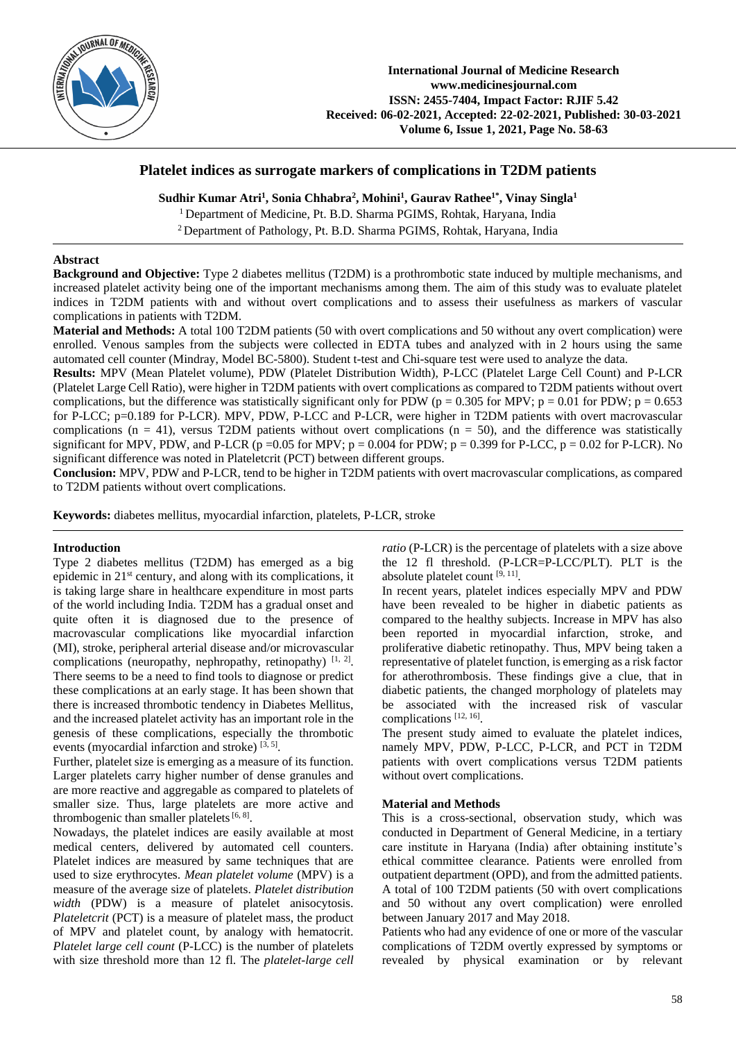

# **Platelet indices as surrogate markers of complications in T2DM patients**

**Sudhir Kumar Atri<sup>1</sup> , Sonia Chhabra<sup>2</sup> , Mohini<sup>1</sup> , Gaurav Rathee1\* , Vinay Singla<sup>1</sup>**

<sup>1</sup> Department of Medicine, Pt. B.D. Sharma PGIMS, Rohtak, Haryana, India

<sup>2</sup>Department of Pathology, Pt. B.D. Sharma PGIMS, Rohtak, Haryana, India

#### **Abstract**

**Background and Objective:** Type 2 diabetes mellitus (T2DM) is a prothrombotic state induced by multiple mechanisms, and increased platelet activity being one of the important mechanisms among them. The aim of this study was to evaluate platelet indices in T2DM patients with and without overt complications and to assess their usefulness as markers of vascular complications in patients with T2DM.

**Material and Methods:** A total 100 T2DM patients (50 with overt complications and 50 without any overt complication) were enrolled. Venous samples from the subjects were collected in EDTA tubes and analyzed with in 2 hours using the same automated cell counter (Mindray, Model BC-5800). Student t-test and Chi-square test were used to analyze the data.

**Results:** MPV (Mean Platelet volume), PDW (Platelet Distribution Width), P-LCC (Platelet Large Cell Count) and P-LCR (Platelet Large Cell Ratio), were higher in T2DM patients with overt complications as compared to T2DM patients without overt complications, but the difference was statistically significant only for PDW ( $p = 0.305$  for MPV;  $p = 0.01$  for PDW;  $p = 0.653$ for P-LCC; p=0.189 for P-LCR). MPV, PDW, P-LCC and P-LCR, were higher in T2DM patients with overt macrovascular complications ( $n = 41$ ), versus T2DM patients without overt complications ( $n = 50$ ), and the difference was statistically significant for MPV, PDW, and P-LCR ( $p = 0.05$  for MPV;  $p = 0.004$  for PDW;  $p = 0.399$  for P-LCC,  $p = 0.02$  for P-LCR). No significant difference was noted in Plateletcrit (PCT) between different groups.

**Conclusion:** MPV, PDW and P-LCR, tend to be higher in T2DM patients with overt macrovascular complications, as compared to T2DM patients without overt complications.

**Keywords:** diabetes mellitus, myocardial infarction, platelets, P-LCR, stroke

### **Introduction**

Type 2 diabetes mellitus (T2DM) has emerged as a big epidemic in 21<sup>st</sup> century, and along with its complications, it is taking large share in healthcare expenditure in most parts of the world including India. T2DM has a gradual onset and quite often it is diagnosed due to the presence of macrovascular complications like myocardial infarction (MI), stroke, peripheral arterial disease and/or microvascular complications (neuropathy, nephropathy, retinopathy)  $[1, 2]$ . There seems to be a need to find tools to diagnose or predict these complications at an early stage. It has been shown that there is increased thrombotic tendency in Diabetes Mellitus, and the increased platelet activity has an important role in the genesis of these complications, especially the thrombotic events (myocardial infarction and stroke)<sup>[3, 5]</sup>.

Further, platelet size is emerging as a measure of its function. Larger platelets carry higher number of dense granules and are more reactive and aggregable as compared to platelets of smaller size. Thus, large platelets are more active and thrombogenic than smaller platelets  $[6, 8]$ .

Nowadays, the platelet indices are easily available at most medical centers, delivered by automated cell counters. Platelet indices are measured by same techniques that are used to size erythrocytes. *Mean platelet volume* (MPV) is a measure of the average size of platelets. *Platelet distribution width* (PDW) is a measure of platelet anisocytosis. *Plateletcrit* (PCT) is a measure of platelet mass, the product of MPV and platelet count, by analogy with hematocrit. *Platelet large cell count* (P-LCC) is the number of platelets with size threshold more than 12 fl. The *platelet-large cell*  *ratio* (P-LCR) is the percentage of platelets with a size above the 12 fl threshold. (P-LCR=P-LCC/PLT). PLT is the absolute platelet count [9, 11].

In recent years, platelet indices especially MPV and PDW have been revealed to be higher in diabetic patients as compared to the healthy subjects. Increase in MPV has also been reported in myocardial infarction, stroke, and proliferative diabetic retinopathy. Thus, MPV being taken a representative of platelet function, is emerging as a risk factor for atherothrombosis. These findings give a clue, that in diabetic patients, the changed morphology of platelets may be associated with the increased risk of vascular complications [12, 16] .

The present study aimed to evaluate the platelet indices, namely MPV, PDW, P-LCC, P-LCR, and PCT in T2DM patients with overt complications versus T2DM patients without overt complications.

### **Material and Methods**

This is a cross-sectional, observation study, which was conducted in Department of General Medicine, in a tertiary care institute in Haryana (India) after obtaining institute's ethical committee clearance. Patients were enrolled from outpatient department (OPD), and from the admitted patients. A total of 100 T2DM patients (50 with overt complications and 50 without any overt complication) were enrolled between January 2017 and May 2018.

Patients who had any evidence of one or more of the vascular complications of T2DM overtly expressed by symptoms or revealed by physical examination or by relevant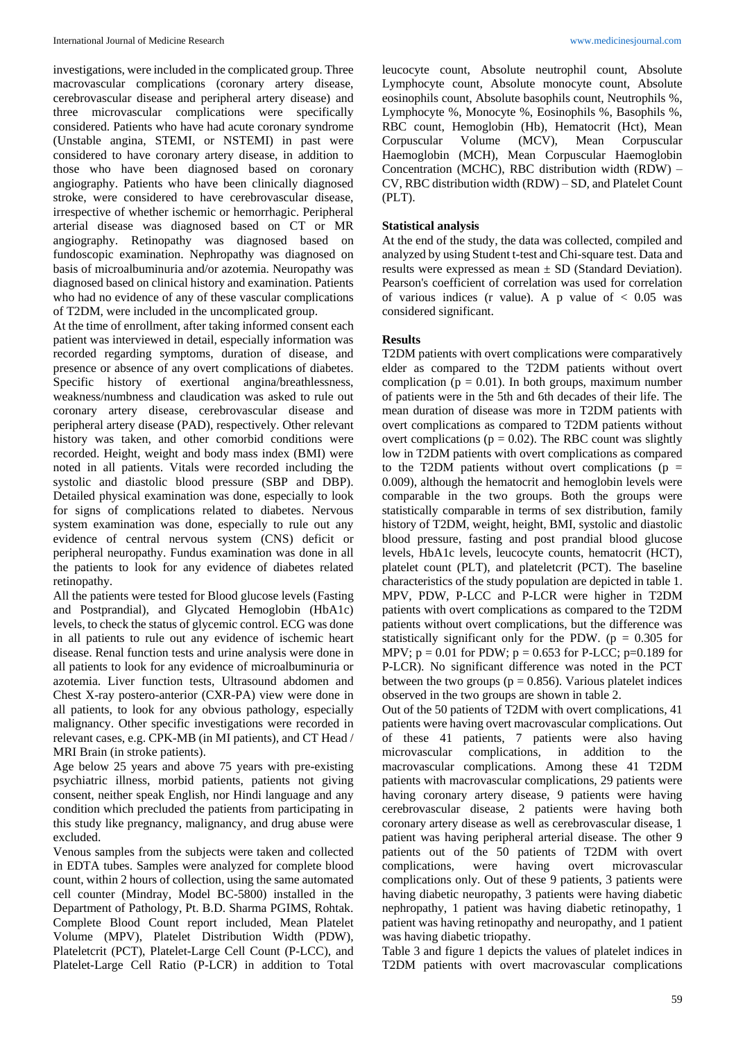investigations, were included in the complicated group. Three macrovascular complications (coronary artery disease, cerebrovascular disease and peripheral artery disease) and three microvascular complications were specifically considered. Patients who have had acute coronary syndrome (Unstable angina, STEMI, or NSTEMI) in past were considered to have coronary artery disease, in addition to those who have been diagnosed based on coronary angiography. Patients who have been clinically diagnosed stroke, were considered to have cerebrovascular disease, irrespective of whether ischemic or hemorrhagic. Peripheral arterial disease was diagnosed based on CT or MR angiography. Retinopathy was diagnosed based on fundoscopic examination. Nephropathy was diagnosed on basis of microalbuminuria and/or azotemia. Neuropathy was diagnosed based on clinical history and examination. Patients who had no evidence of any of these vascular complications of T2DM, were included in the uncomplicated group.

At the time of enrollment, after taking informed consent each patient was interviewed in detail, especially information was recorded regarding symptoms, duration of disease, and presence or absence of any overt complications of diabetes. Specific history of exertional angina/breathlessness, weakness/numbness and claudication was asked to rule out coronary artery disease, cerebrovascular disease and peripheral artery disease (PAD), respectively. Other relevant history was taken, and other comorbid conditions were recorded. Height, weight and body mass index (BMI) were noted in all patients. Vitals were recorded including the systolic and diastolic blood pressure (SBP and DBP). Detailed physical examination was done, especially to look for signs of complications related to diabetes. Nervous system examination was done, especially to rule out any evidence of central nervous system (CNS) deficit or peripheral neuropathy. Fundus examination was done in all the patients to look for any evidence of diabetes related retinopathy.

All the patients were tested for Blood glucose levels (Fasting and Postprandial), and Glycated Hemoglobin (HbA1c) levels, to check the status of glycemic control. ECG was done in all patients to rule out any evidence of ischemic heart disease. Renal function tests and urine analysis were done in all patients to look for any evidence of microalbuminuria or azotemia. Liver function tests, Ultrasound abdomen and Chest X-ray postero-anterior (CXR-PA) view were done in all patients, to look for any obvious pathology, especially malignancy. Other specific investigations were recorded in relevant cases, e.g. CPK-MB (in MI patients), and CT Head / MRI Brain (in stroke patients).

Age below 25 years and above 75 years with pre-existing psychiatric illness, morbid patients, patients not giving consent, neither speak English, nor Hindi language and any condition which precluded the patients from participating in this study like pregnancy, malignancy, and drug abuse were excluded.

Venous samples from the subjects were taken and collected in EDTA tubes. Samples were analyzed for complete blood count, within 2 hours of collection, using the same automated cell counter (Mindray, Model BC-5800) installed in the Department of Pathology, Pt. B.D. Sharma PGIMS, Rohtak. Complete Blood Count report included, Mean Platelet Volume (MPV), Platelet Distribution Width (PDW), Plateletcrit (PCT), Platelet-Large Cell Count (P-LCC), and Platelet-Large Cell Ratio (P-LCR) in addition to Total

leucocyte count, Absolute neutrophil count, Absolute Lymphocyte count, Absolute monocyte count, Absolute eosinophils count, Absolute basophils count, Neutrophils %, Lymphocyte %, Monocyte %, Eosinophils %, Basophils %, RBC count, Hemoglobin (Hb), Hematocrit (Hct), Mean Corpuscular Volume (MCV), Mean Corpuscular Haemoglobin (MCH), Mean Corpuscular Haemoglobin Concentration (MCHC), RBC distribution width (RDW) – CV, RBC distribution width (RDW) – SD, and Platelet Count (PLT).

## **Statistical analysis**

At the end of the study, the data was collected, compiled and analyzed by using Student t-test and Chi-square test. Data and results were expressed as mean ± SD (Standard Deviation). Pearson's coefficient of correlation was used for correlation of various indices (r value). A p value of  $< 0.05$  was considered significant.

# **Results**

T2DM patients with overt complications were comparatively elder as compared to the T2DM patients without overt complication ( $p = 0.01$ ). In both groups, maximum number of patients were in the 5th and 6th decades of their life. The mean duration of disease was more in T2DM patients with overt complications as compared to T2DM patients without overt complications ( $p = 0.02$ ). The RBC count was slightly low in T2DM patients with overt complications as compared to the T2DM patients without overt complications ( $p =$ 0.009), although the hematocrit and hemoglobin levels were comparable in the two groups. Both the groups were statistically comparable in terms of sex distribution, family history of T2DM, weight, height, BMI, systolic and diastolic blood pressure, fasting and post prandial blood glucose levels, HbA1c levels, leucocyte counts, hematocrit (HCT), platelet count (PLT), and plateletcrit (PCT). The baseline characteristics of the study population are depicted in table 1. MPV, PDW, P-LCC and P-LCR were higher in T2DM patients with overt complications as compared to the T2DM patients without overt complications, but the difference was statistically significant only for the PDW. ( $p = 0.305$  for MPV;  $p = 0.01$  for PDW;  $p = 0.653$  for P-LCC;  $p=0.189$  for P-LCR). No significant difference was noted in the PCT between the two groups ( $p = 0.856$ ). Various platelet indices observed in the two groups are shown in table 2.

Out of the 50 patients of T2DM with overt complications, 41 patients were having overt macrovascular complications. Out of these 41 patients, 7 patients were also having microvascular complications, in addition to the macrovascular complications. Among these 41 T2DM patients with macrovascular complications, 29 patients were having coronary artery disease, 9 patients were having cerebrovascular disease, 2 patients were having both coronary artery disease as well as cerebrovascular disease, 1 patient was having peripheral arterial disease. The other 9 patients out of the 50 patients of T2DM with overt complications, were having overt microvascular complications only. Out of these 9 patients, 3 patients were having diabetic neuropathy, 3 patients were having diabetic nephropathy, 1 patient was having diabetic retinopathy, 1 patient was having retinopathy and neuropathy, and 1 patient was having diabetic triopathy.

Table 3 and figure 1 depicts the values of platelet indices in T2DM patients with overt macrovascular complications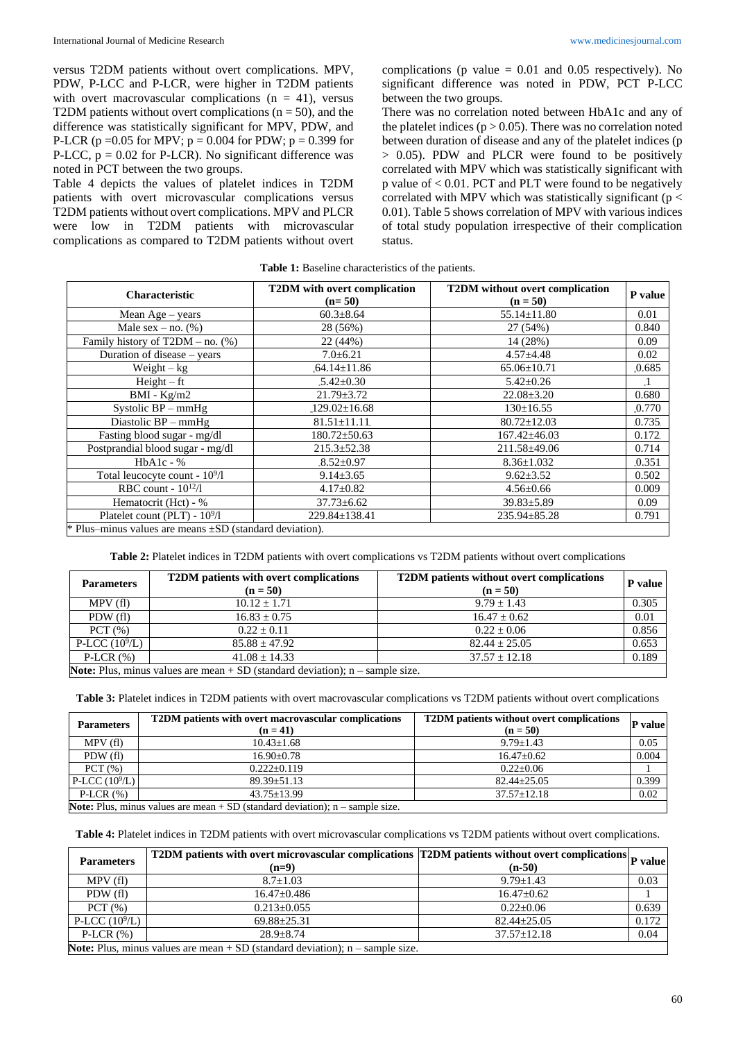versus T2DM patients without overt complications. MPV, PDW, P-LCC and P-LCR, were higher in T2DM patients with overt macrovascular complications ( $n = 41$ ), versus T2DM patients without overt complications ( $n = 50$ ), and the difference was statistically significant for MPV, PDW, and P-LCR ( $p = 0.05$  for MPV;  $p = 0.004$  for PDW;  $p = 0.399$  for P-LCC,  $p = 0.02$  for P-LCR). No significant difference was noted in PCT between the two groups.

Table 4 depicts the values of platelet indices in T2DM patients with overt microvascular complications versus T2DM patients without overt complications. MPV and PLCR were low in T2DM patients with microvascular complications as compared to T2DM patients without overt complications (p value  $= 0.01$  and 0.05 respectively). No significant difference was noted in PDW, PCT P-LCC between the two groups.

There was no correlation noted between HbA1c and any of the platelet indices ( $p > 0.05$ ). There was no correlation noted between duration of disease and any of the platelet indices (p > 0.05). PDW and PLCR were found to be positively correlated with MPV which was statistically significant with p value of < 0.01. PCT and PLT were found to be negatively correlated with MPV which was statistically significant (p < 0.01). Table 5 shows correlation of MPV with various indices of total study population irrespective of their complication status.

| <b>Table 1:</b> Baseline characteristics of the patients. |
|-----------------------------------------------------------|
|-----------------------------------------------------------|

| <b>Characteristic</b>                                        | <b>T2DM</b> with overt complication<br>$(n=50)$ | <b>T2DM</b> without overt complication<br>$(n = 50)$ | P value |  |
|--------------------------------------------------------------|-------------------------------------------------|------------------------------------------------------|---------|--|
| Mean $Age - years$                                           | $60.3 \pm 8.64$                                 | $55.14 \pm 11.80$                                    | 0.01    |  |
| Male sex – no. $(\%)$                                        | 28 (56%)                                        | 27 (54%)                                             | 0.840   |  |
| Family history of $T2DM - no.$ (%)                           | 22 (44%)                                        | 14 (28%)                                             | 0.09    |  |
| Duration of disease – years                                  | $7.0 \pm 6.21$                                  | $4.57 \pm 4.48$                                      | 0.02    |  |
| $Weight - kg$                                                | $64.14 \pm 11.86$                               | $65.06 \pm 10.71$                                    | 0.685   |  |
| $Height - ft$                                                | $5.42 \pm 0.30$                                 | $5.42 \pm 0.26$                                      |         |  |
| $BMI - Kg/m2$                                                | $21.79 \pm 3.72$                                | $22.08 \pm 3.20$                                     | 0.680   |  |
| Systolic $BP - mmHg$                                         | $-129.02 \pm 16.68$                             | $130 \pm 16.55$                                      | .0.770  |  |
| Diastolic $BP - mmHg$                                        | $81.51 \pm 11.11$                               | $80.72 \pm 12.03$                                    | 0.735   |  |
| Fasting blood sugar - mg/dl                                  | $180.72 \pm 50.63$                              | $167.42 \pm 46.03$                                   | 0.172   |  |
| Postprandial blood sugar - mg/dl                             | $215.3 \pm 52.38$                               | 211.58±49.06                                         | 0.714   |  |
| $HbA1c - %$                                                  | $.8.52 \pm 0.97$                                | $8.36 \pm 1.032$                                     | .0.351  |  |
| Total leucocyte count - 10 <sup>9</sup> /l                   | $9.14 \pm 3.65$                                 | $9.62 \pm 3.52$                                      | 0.502   |  |
| RBC count - $10^{12}/1$                                      | $4.17 \pm 0.82$                                 | $4.56 \pm 0.66$                                      | 0.009   |  |
| Hematocrit (Hct) - %                                         | $37.73 \pm 6.62$                                | $39.83 \pm 5.89$                                     | 0.09    |  |
| Platelet count (PLT) - $10^9/1$                              | $229.84 \pm 138.41$                             | $235.94 \pm 85.28$                                   | 0.791   |  |
| * Plus-minus values are means $\pm SD$ (standard deviation). |                                                 |                                                      |         |  |

**Table 2:** Platelet indices in T2DM patients with overt complications vs T2DM patients without overt complications

| <b>Parameters</b>                                                                      | <b>T2DM</b> patients with overt complications<br>$(n = 50)$ | <b>T2DM</b> patients without overt complications<br>$(n = 50)$ | P value |  |
|----------------------------------------------------------------------------------------|-------------------------------------------------------------|----------------------------------------------------------------|---------|--|
| MPV(f)                                                                                 | $10.12 + 1.71$                                              | $9.79 \pm 1.43$                                                | 0.305   |  |
| PDW(fl)                                                                                | $16.83 \pm 0.75$                                            | $16.47 \pm 0.62$                                               | 0.01    |  |
| PCT(%)                                                                                 | $0.22 + 0.11$                                               | $0.22 + 0.06$                                                  | 0.856   |  |
| P-LCC $(10^9/L)$                                                                       | $85.88 \pm 47.92$                                           | $82.44 \pm 25.05$                                              | 0.653   |  |
| P-LCR $(\%)$                                                                           | $41.08 + 14.33$                                             | $37.57 \pm 12.18$                                              | 0.189   |  |
| <b>Note:</b> Plus, minus values are mean $+$ SD (standard deviation); n – sample size. |                                                             |                                                                |         |  |

**Table 3:** Platelet indices in T2DM patients with overt macrovascular complications vs T2DM patients without overt complications

| <b>Parameters</b>                                                                      | T2DM patients with overt macrovascular complications<br>$(n = 41)$ | <b>T2DM</b> patients without overt complications<br>$(n = 50)$ | P value |  |  |
|----------------------------------------------------------------------------------------|--------------------------------------------------------------------|----------------------------------------------------------------|---------|--|--|
| MPV(f)                                                                                 | $10.43 \pm 1.68$                                                   | $9.79 + 1.43$                                                  | 0.05    |  |  |
| PDW (fl)                                                                               | $16.90 \pm 0.78$                                                   | $16.47 \pm 0.62$                                               | 0.004   |  |  |
| PCT(%)                                                                                 | $0.222+0.119$                                                      | $0.22+0.06$                                                    |         |  |  |
| $P-LCC(109/L)$                                                                         | $89.39 \pm 51.13$                                                  | $82.44 \pm 25.05$                                              | 0.399   |  |  |
| P-LCR $(\%)$                                                                           | $43.75 + 13.99$                                                    | $37.57 \pm 12.18$                                              | 0.02    |  |  |
| <b>Note:</b> Plus, minus values are mean $+$ SD (standard deviation); n – sample size. |                                                                    |                                                                |         |  |  |

**Table 4:** Platelet indices in T2DM patients with overt microvascular complications vs T2DM patients without overt complications.

| <b>Parameters</b>                                                                      | T2DM patients with overt microvascular complications T2DM patients without overt complications P value<br>$(n=9)$ | $(n-50)$          |       |  |  |
|----------------------------------------------------------------------------------------|-------------------------------------------------------------------------------------------------------------------|-------------------|-------|--|--|
| MPV(f)                                                                                 | $8.7 + 1.03$                                                                                                      | $9.79 \pm 1.43$   | 0.03  |  |  |
| PDW(f)                                                                                 | $16.47 + 0.486$                                                                                                   | $16.47 \pm 0.62$  |       |  |  |
| PCT(%)                                                                                 | $0.213 + 0.055$                                                                                                   | $0.22+0.06$       | 0.639 |  |  |
| P-LCC $(10^9/L)$                                                                       | $69.88 \pm 25.31$                                                                                                 | $82.44 \pm 25.05$ | 0.172 |  |  |
| P-LCR $(\%)$                                                                           | $28.9 + 8.74$                                                                                                     | $37.57 \pm 12.18$ | 0.04  |  |  |
| <b>Note:</b> Plus, minus values are mean $+$ SD (standard deviation); n – sample size. |                                                                                                                   |                   |       |  |  |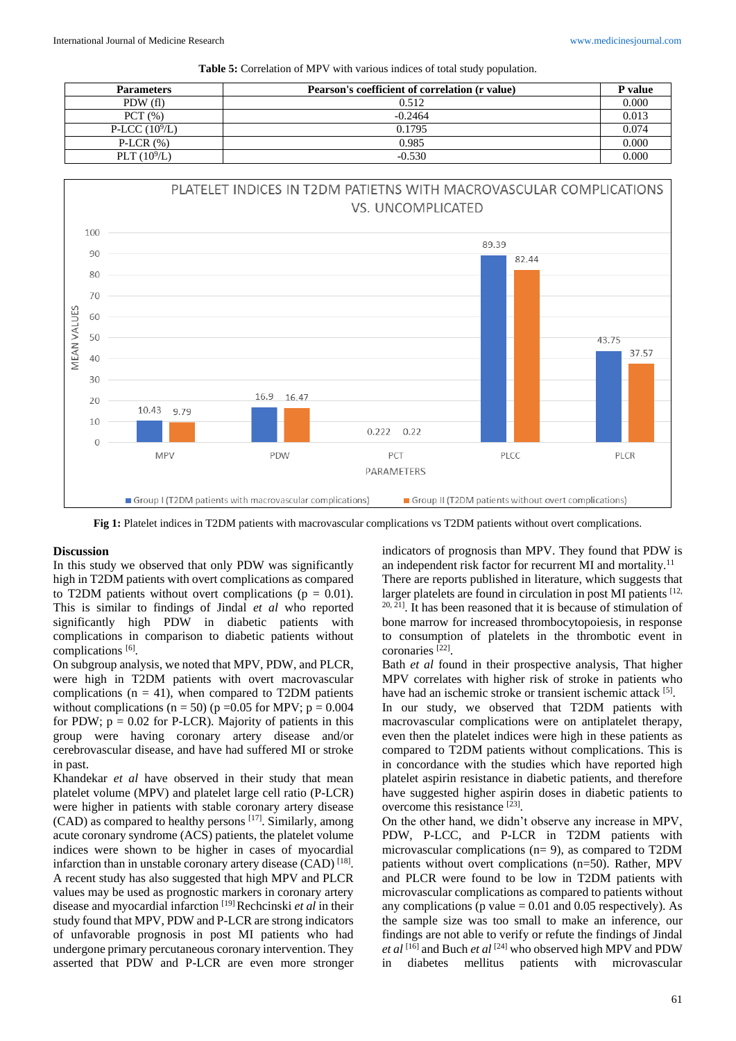|  |  |  |  |  |  |  |  | Table 5: Correlation of MPV with various indices of total study population. |
|--|--|--|--|--|--|--|--|-----------------------------------------------------------------------------|
|--|--|--|--|--|--|--|--|-----------------------------------------------------------------------------|

| <b>Parameters</b> | Pearson's coefficient of correlation (r value) | P value |
|-------------------|------------------------------------------------|---------|
| PDW (fl)          | 0.512                                          | 0.000   |
| PCT(%)            | $-0.2464$                                      | 0.013   |
| P-LCC $(10^9/L)$  | 0.1795                                         | 0.074   |
| P-LCR $(\%)$      | 0.985                                          | 0.000   |
| PLT $(10^9/L)$    | $-0.530$                                       | 0.000   |



**Fig 1:** Platelet indices in T2DM patients with macrovascular complications vs T2DM patients without overt complications.

#### **Discussion**

In this study we observed that only PDW was significantly high in T2DM patients with overt complications as compared to T2DM patients without overt complications ( $p = 0.01$ ). This is similar to findings of Jindal *et al* who reported significantly high PDW in diabetic patients with complications in comparison to diabetic patients without complications [6].

On subgroup analysis, we noted that MPV, PDW, and PLCR, were high in T2DM patients with overt macrovascular complications ( $n = 41$ ), when compared to T2DM patients without complications ( $n = 50$ ) ( $p = 0.05$  for MPV;  $p = 0.004$ for PDW;  $p = 0.02$  for P-LCR). Majority of patients in this group were having coronary artery disease and/or cerebrovascular disease, and have had suffered MI or stroke in past.

Khandekar *et al* have observed in their study that mean platelet volume (MPV) and platelet large cell ratio (P-LCR) were higher in patients with stable coronary artery disease (CAD) as compared to healthy persons [17] . Similarly, among acute coronary syndrome (ACS) patients, the platelet volume indices were shown to be higher in cases of myocardial infarction than in unstable coronary artery disease (CAD) [18]. A recent study has also suggested that high MPV and PLCR values may be used as prognostic markers in coronary artery disease and myocardial infarction<sup>[19]</sup>Rechcinski *et al* in their study found that MPV, PDW and P-LCR are strong indicators of unfavorable prognosis in post MI patients who had undergone primary percutaneous coronary intervention. They asserted that PDW and P-LCR are even more stronger

indicators of prognosis than MPV. They found that PDW is an independent risk factor for recurrent MI and mortality.<sup>11</sup> There are reports published in literature, which suggests that larger platelets are found in circulation in post MI patients  $[12, 12]$ 20, 21] . It has been reasoned that it is because of stimulation of bone marrow for increased thrombocytopoiesis, in response to consumption of platelets in the thrombotic event in coronaries [22] .

Bath *et al* found in their prospective analysis, That higher MPV correlates with higher risk of stroke in patients who have had an ischemic stroke or transient ischemic attack [5].

In our study, we observed that T2DM patients with macrovascular complications were on antiplatelet therapy, even then the platelet indices were high in these patients as compared to T2DM patients without complications. This is in concordance with the studies which have reported high platelet aspirin resistance in diabetic patients, and therefore have suggested higher aspirin doses in diabetic patients to overcome this resistance [23].

On the other hand, we didn't observe any increase in MPV, PDW, P-LCC, and P-LCR in T2DM patients with microvascular complications (n= 9), as compared to T2DM patients without overt complications (n=50). Rather, MPV and PLCR were found to be low in T2DM patients with microvascular complications as compared to patients without any complications ( $p$  value  $= 0.01$  and 0.05 respectively). As the sample size was too small to make an inference, our findings are not able to verify or refute the findings of Jindal *et al* [16] and Buch *et al* [24] who observed high MPV and PDW in diabetes mellitus patients with microvascular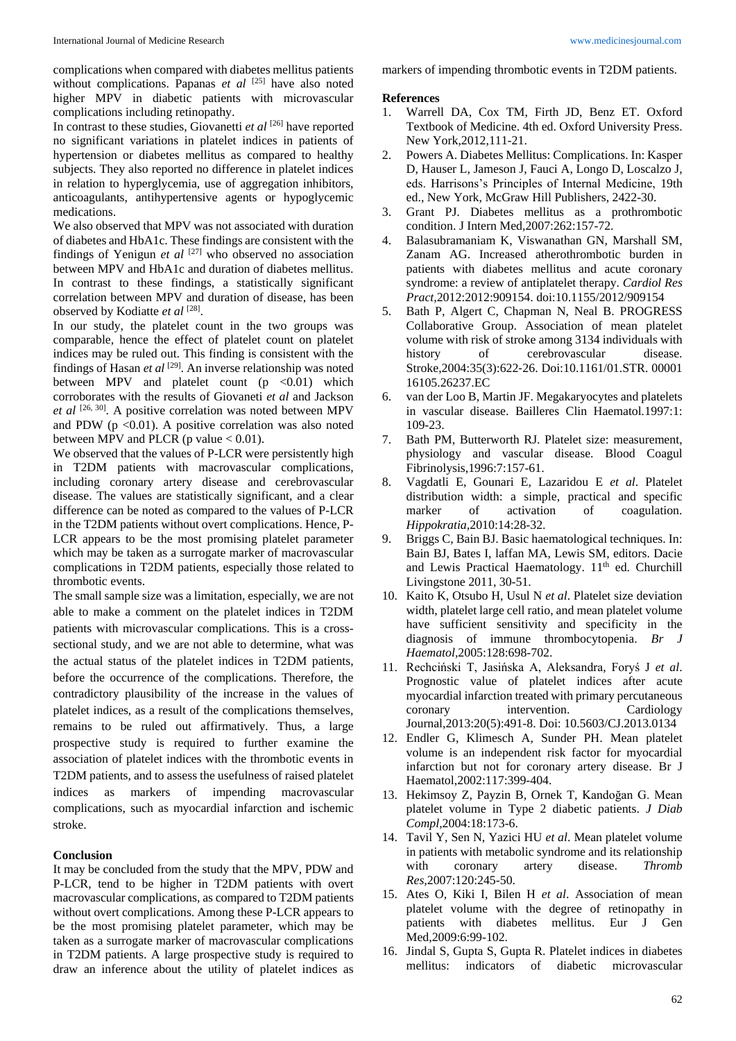complications when compared with diabetes mellitus patients without complications. Papanas *et al* [25] have also noted higher MPV in diabetic patients with microvascular complications including retinopathy.

In contrast to these studies, Giovanetti *et al* [26] have reported no significant variations in platelet indices in patients of hypertension or diabetes mellitus as compared to healthy subjects. They also reported no difference in platelet indices in relation to hyperglycemia, use of aggregation inhibitors, anticoagulants, antihypertensive agents or hypoglycemic medications.

We also observed that MPV was not associated with duration of diabetes and HbA1c. These findings are consistent with the findings of Yenigun *et al* [27] who observed no association between MPV and HbA1c and duration of diabetes mellitus. In contrast to these findings, a statistically significant correlation between MPV and duration of disease, has been observed by Kodiatte et al<sup>[28]</sup>.

In our study, the platelet count in the two groups was comparable, hence the effect of platelet count on platelet indices may be ruled out. This finding is consistent with the findings of Hasan et al <sup>[29]</sup>. An inverse relationship was noted between MPV and platelet count  $(p \le 0.01)$  which corroborates with the results of Giovaneti *et al* and Jackson et al <sup>[26, 30]</sup>. A positive correlation was noted between MPV and PDW ( $p < 0.01$ ). A positive correlation was also noted between MPV and PLCR (p value  $< 0.01$ ).

We observed that the values of P-LCR were persistently high in T2DM patients with macrovascular complications, including coronary artery disease and cerebrovascular disease. The values are statistically significant, and a clear difference can be noted as compared to the values of P-LCR in the T2DM patients without overt complications. Hence, P-LCR appears to be the most promising platelet parameter which may be taken as a surrogate marker of macrovascular complications in T2DM patients, especially those related to thrombotic events.

The small sample size was a limitation, especially, we are not able to make a comment on the platelet indices in T2DM patients with microvascular complications. This is a crosssectional study, and we are not able to determine, what was the actual status of the platelet indices in T2DM patients, before the occurrence of the complications. Therefore, the contradictory plausibility of the increase in the values of platelet indices, as a result of the complications themselves, remains to be ruled out affirmatively. Thus, a large prospective study is required to further examine the association of platelet indices with the thrombotic events in T2DM patients, and to assess the usefulness of raised platelet indices as markers of impending macrovascular complications, such as myocardial infarction and ischemic stroke.

#### **Conclusion**

It may be concluded from the study that the MPV, PDW and P-LCR, tend to be higher in T2DM patients with overt macrovascular complications, as compared to T2DM patients without overt complications. Among these P-LCR appears to be the most promising platelet parameter, which may be taken as a surrogate marker of macrovascular complications in T2DM patients. A large prospective study is required to draw an inference about the utility of platelet indices as markers of impending thrombotic events in T2DM patients.

#### **References**

- 1. Warrell DA, Cox TM, Firth JD, Benz ET. Oxford Textbook of Medicine. 4th ed. Oxford University Press. New York,2012,111-21.
- 2. Powers A. Diabetes Mellitus: Complications. In: Kasper D, Hauser L, Jameson J, Fauci A, Longo D, Loscalzo J, eds. Harrisons's Principles of Internal Medicine, 19th ed., New York, McGraw Hill Publishers, 2422-30.
- 3. Grant PJ. Diabetes mellitus as a prothrombotic condition. J Intern Med*,*2007:262:157-72.
- 4. Balasubramaniam K, Viswanathan GN, Marshall SM, Zanam AG. Increased atherothrombotic burden in patients with diabetes mellitus and acute coronary syndrome: a review of antiplatelet therapy. *Cardiol Res Pract,*2012:2012:909154. doi:10.1155/2012/909154
- 5. Bath P, Algert C, Chapman N, Neal B. PROGRESS Collaborative Group. Association of mean platelet volume with risk of stroke among 3134 individuals with history of cerebrovascular disease. Stroke,2004:35(3):622‐26. Doi:10.1161/01.STR. 00001 16105.26237.EC
- 6. van der Loo B, Martin JF. Megakaryocytes and platelets in vascular disease. Bailleres Clin Haematol*.*1997:1: 109-23.
- 7. Bath PM, Butterworth RJ. Platelet size: measurement, physiology and vascular disease. Blood Coagul Fibrinolysis,1996:7:157-61.
- 8. Vagdatli E, Gounari E, Lazaridou E *et al*. Platelet distribution width: a simple, practical and specific marker of activation of coagulation. *Hippokratia,*2010:14:28-32.
- 9. Briggs C, Bain BJ. Basic haematological techniques. In: Bain BJ, Bates I, laffan MA, Lewis SM, editors. Dacie and Lewis Practical Haematology. 11<sup>th</sup> ed. Churchill Livingstone 2011, 30-51.
- 10. Kaito K, Otsubo H, Usul N *et al*. Platelet size deviation width, platelet large cell ratio, and mean platelet volume have sufficient sensitivity and specificity in the diagnosis of immune thrombocytopenia. *Br J Haematol,*2005:128:698-702.
- 11. Rechciński T, Jasińska A, Aleksandra, Foryś J *et al*. Prognostic value of platelet indices after acute myocardial infarction treated with primary percutaneous coronary intervention. Cardiology Journal,2013:20(5):491-8. Doi: 10.5603/CJ.2013.0134
- 12. Endler G, Klimesch A, Sunder PH. Mean platelet volume is an independent risk factor for myocardial infarction but not for coronary artery disease. Br J Haematol,2002:117:399-404.
- 13. Hekimsoy Z, Payzin B, Ornek T, Kandoğan G. Mean platelet volume in Type 2 diabetic patients. *J Diab Compl,*2004:18:173-6.
- 14. Tavil Y, Sen N, Yazici HU *et al*. Mean platelet volume in patients with metabolic syndrome and its relationship with coronary artery disease. *Thromb Res,*2007:120:245-50.
- 15. Ates O, Kiki I, Bilen H *et al*. Association of mean platelet volume with the degree of retinopathy in patients with diabetes mellitus. Eur J Gen Med,2009:6:99-102.
- 16. Jindal S, Gupta S, Gupta R. Platelet indices in diabetes mellitus: indicators of diabetic microvascular